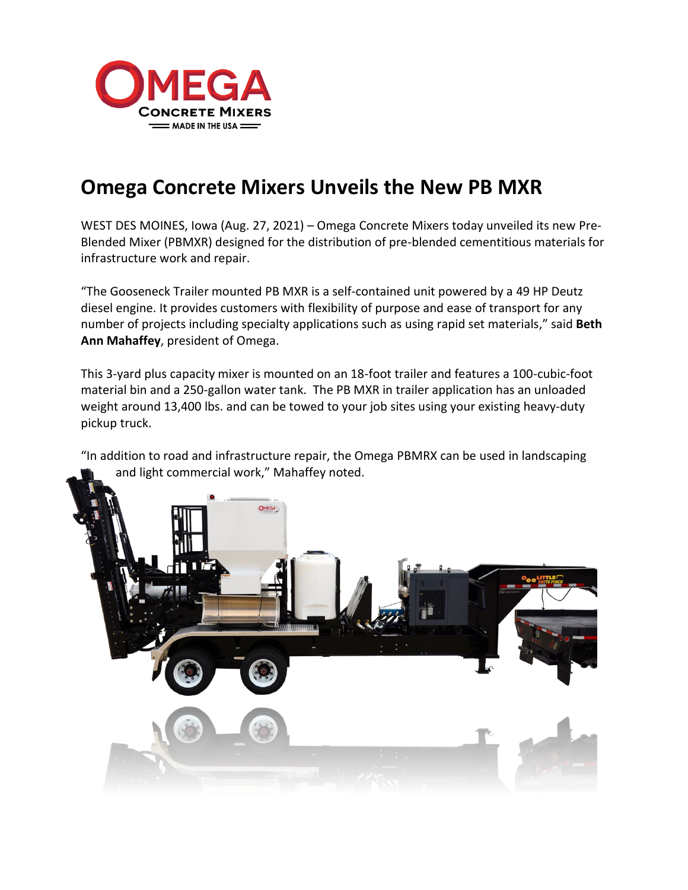

## **Omega Concrete Mixers Unveils the New PB MXR**

WEST DES MOINES, Iowa (Aug. 27, 2021) – Omega Concrete Mixers today unveiled its new Pre-Blended Mixer (PBMXR) designed for the distribution of pre-blended cementitious materials for infrastructure work and repair.

"The Gooseneck Trailer mounted PB MXR is a self-contained unit powered by a 49 HP Deutz diesel engine. It provides customers with flexibility of purpose and ease of transport for any number of projects including specialty applications such as using rapid set materials," said **Beth Ann Mahaffey**, president of Omega.

This 3-yard plus capacity mixer is mounted on an 18-foot trailer and features a 100-cubic-foot material bin and a 250-gallon water tank. The PB MXR in trailer application has an unloaded weight around 13,400 lbs. and can be towed to your job sites using your existing heavy-duty pickup truck.

"In addition to road and infrastructure repair, the Omega PBMRX can be used in landscaping and light commercial work," Mahaffey noted.